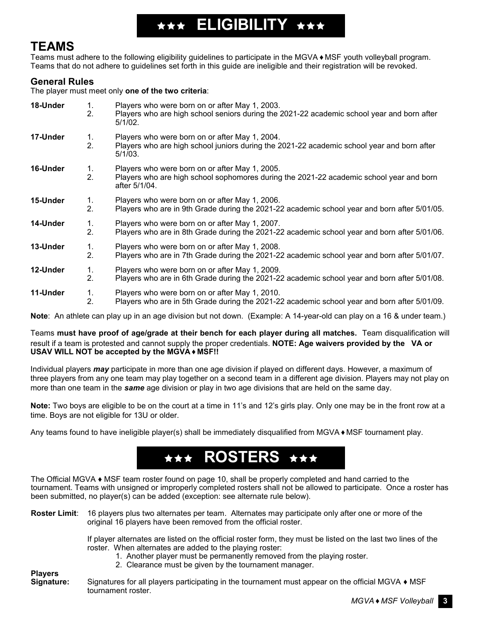

## **TEAMS**

Teams must adhere to the following eligibility guidelines to participate in the MGVA ♦ MSF youth volleyball program. Teams that do not adhere to guidelines set forth in this guide are ineligible and their registration will be revoked.

## **General Rules**

The player must meet only **one of the two criteria**:

| 18-Under | 1.<br>2. | Players who were born on or after May 1, 2003.<br>Players who are high school seniors during the 2021-22 academic school year and born after<br>$5/1/02$ . |
|----------|----------|------------------------------------------------------------------------------------------------------------------------------------------------------------|
| 17-Under | 1.<br>2. | Players who were born on or after May 1, 2004.<br>Players who are high school juniors during the 2021-22 academic school year and born after<br>$5/1/03$ . |
| 16-Under | 1.<br>2. | Players who were born on or after May 1, 2005.<br>Players who are high school sophomores during the 2021-22 academic school year and born<br>after 5/1/04. |
| 15-Under | 1.<br>2. | Players who were born on or after May 1, 2006.<br>Players who are in 9th Grade during the 2021-22 academic school year and born after 5/01/05.             |
| 14-Under | 1.<br>2. | Players who were born on or after May 1, 2007.<br>Players who are in 8th Grade during the 2021-22 academic school year and born after 5/01/06.             |
| 13-Under | 1.<br>2. | Players who were born on or after May 1, 2008.<br>Players who are in 7th Grade during the 2021-22 academic school year and born after 5/01/07.             |
| 12-Under | 1.<br>2. | Players who were born on or after May 1, 2009.<br>Players who are in 6th Grade during the 2021-22 academic school year and born after 5/01/08.             |
| 11-Under | 1.<br>2. | Players who were born on or after May 1, 2010.<br>Players who are in 5th Grade during the 2021-22 academic school year and born after 5/01/09.             |

**Note**: An athlete can play up in an age division but not down. (Example: A 14-year-old can play on a 16 & under team.)

Teams **must have proof of age/grade at their bench for each player during all matches.** Team disqualification will result if a team is protested and cannot supply the proper credentials. **NOTE: Age waivers provided by the VA or USAV WILL NOT be accepted by the MGVA ♦ MSF!!**

Individual players *may* participate in more than one age division if played on different days. However, a maximum of three players from any one team may play together on a second team in a different age division. Players may not play on more than one team in the *same* age division or play in two age divisions that are held on the same day.

**Note:** Two boys are eligible to be on the court at a time in 11's and 12's girls play. Only one may be in the front row at a time. Boys are not eligible for 13U or older.

Any teams found to have ineligible player(s) shall be immediately disqualified from MGVA ♦ MSF tournament play.

# \*\*\* ROSTERS \*\*\*

The Official MGVA ♦ MSF team roster found on page 10, shall be properly completed and hand carried to the tournament. Teams with unsigned or improperly completed rosters shall not be allowed to participate. Once a roster has been submitted, no player(s) can be added (exception: see alternate rule below).

**Roster Limit**: 16 players plus two alternates per team. Alternates may participate only after one or more of the original 16 players have been removed from the official roster.

> If player alternates are listed on the official roster form, they must be listed on the last two lines of the roster. When alternates are added to the playing roster:

- 1. Another player must be permanently removed from the playing roster.
- 2. Clearance must be given by the tournament manager.

**Players**  Signatures for all players participating in the tournament must appear on the official MGVA ♦ MSF tournament roster.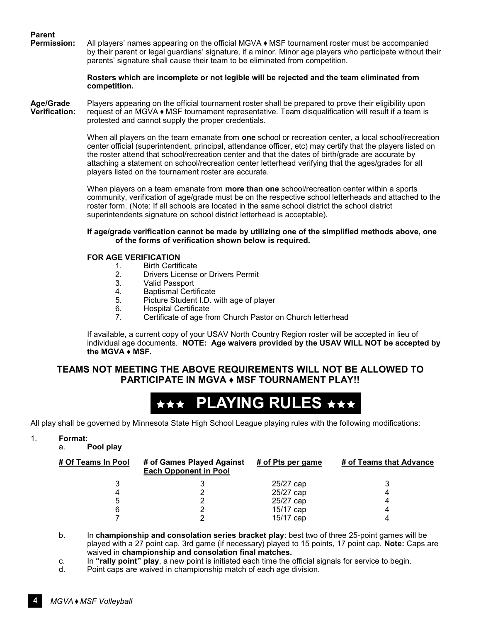# **Parent**

**Permission:** All players' names appearing on the official MGVA ♦ MSF tournament roster must be accompanied by their parent or legal guardians' signature, if a minor. Minor age players who participate without their parents' signature shall cause their team to be eliminated from competition.

#### **Rosters which are incomplete or not legible will be rejected and the team eliminated from competition.**

**Age/Grade** Players appearing on the official tournament roster shall be prepared to prove their eligibility upon<br>Verification: request of an MGVA ◆ MSF tournament representative. Team disqualification will result if a te **Verification:** request of an MGVA ♦ MSF tournament representative. Team disqualification will result if a team is protested and cannot supply the proper credentials.

> When all players on the team emanate from **one** school or recreation center, a local school/recreation center official (superintendent, principal, attendance officer, etc) may certify that the players listed on the roster attend that school/recreation center and that the dates of birth/grade are accurate by attaching a statement on school/recreation center letterhead verifying that the ages/grades for all players listed on the tournament roster are accurate.

> When players on a team emanate from **more than one** school/recreation center within a sports community, verification of age/grade must be on the respective school letterheads and attached to the roster form. (Note: If all schools are located in the same school district the school district superintendents signature on school district letterhead is acceptable).

#### **If age/grade verification cannot be made by utilizing one of the simplified methods above, one of the forms of verification shown below is required.**

#### **FOR AGE VERIFICATION**

- 1. Birth Certificate
- 2. Drivers License or Drivers Permit<br>3. Valid Passport
- 3. Valid Passport<br>4. Baptismal Certi
- 4. Baptismal Certificate<br>5. Picture Student I.D. v
- 5. Picture Student I.D. with age of player
- 6. Hospital Certificate
- 7. Certificate of age from Church Pastor on Church letterhead

If available, a current copy of your USAV North Country Region roster will be accepted in lieu of individual age documents. **NOTE: Age waivers provided by the USAV WILL NOT be accepted by the MGVA ♦ MSF.**

### **TEAMS NOT MEETING THE ABOVE REQUIREMENTS WILL NOT BE ALLOWED TO PARTICIPATE IN MGVA ♦ MSF TOURNAMENT PLAY!!**



All play shall be governed by Minnesota State High School League playing rules with the following modifications:

#### 1. **Format:**

a. **Pool play**

| # Of Teams In Pool | # of Games Played Against<br><b>Each Opponent in Pool</b> | # of Pts per game | # of Teams that Advance |
|--------------------|-----------------------------------------------------------|-------------------|-------------------------|
|                    |                                                           | 25/27 cap         |                         |
|                    |                                                           | 25/27 cap         |                         |
|                    |                                                           | 25/27 cap         |                         |
|                    |                                                           | 15/17 cap         |                         |
|                    |                                                           | 15/17 cap         |                         |
|                    |                                                           |                   |                         |

b. In **championship and consolation series bracket play**: best two of three 25-point games will be played with a 27 point cap. 3rd game (if necessary) played to 15 points, 17 point cap. **Note:** Caps are waived in **championship and consolation final matches.**

- c. In **"rally point" play**, a new point is initiated each time the official signals for service to begin.
- d. Point caps are waived in championship match of each age division.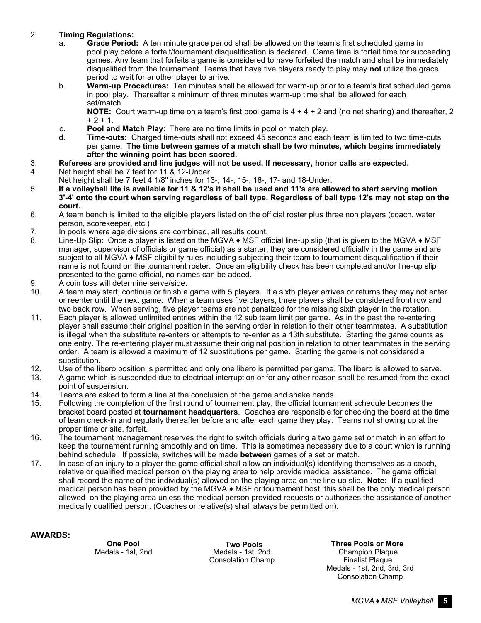#### 2. **Timing Regulations:**

- a. **Grace Period:** A ten minute grace period shall be allowed on the team's first scheduled game in pool play before a forfeit/tournament disqualification is declared. Game time is forfeit time for succeeding games. Any team that forfeits a game is considered to have forfeited the match and shall be immediately disqualified from the tournament. Teams that have five players ready to play may **not** utilize the grace period to wait for another player to arrive.
- b. **Warm-up Procedures:** Ten minutes shall be allowed for warm-up prior to a team's first scheduled game in pool play. Thereafter a minimum of three minutes warm-up time shall be allowed for each set/match.

**NOTE:** Court warm-up time on a team's first pool game is 4 + 4 + 2 and (no net sharing) and thereafter, 2  $+ 2 + 1.$ 

- c. **Pool and Match Play**: There are no time limits in pool or match play.
- Time-outs: Charged time-outs shall not exceed 45 seconds and each team is limited to two time-outs per game. **The time between games of a match shall be two minutes, which begins immediately after the winning point has been scored.**
- 3. **Referees are provided and line judges will not be used. If necessary, honor calls are expected.**
- 4. Net height shall be 7 feet for 11 & 12-Under.
- Net height shall be 7 feet 4 1/8" inches for 13-, 14-, 15-, 16-, 17- and 18-Under.
- 5. **If a volleyball lite is available for 11 & 12's it shall be used and 11's are allowed to start serving motion 3'-4' onto the court when serving regardless of ball type. Regardless of ball type 12's may not step on the court.**
- 6. A team bench is limited to the eligible players listed on the official roster plus three non players (coach, water person, scorekeeper, etc.)
- 7. In pools where age divisions are combined, all results count.
- 8. Line-Up Slip: Once a player is listed on the MGVA ♦ MSF official line-up slip (that is given to the MGVA ♦ MSF manager, supervisor of officials or game official) as a starter, they are considered officially in the game and are subject to all MGVA ♦ MSF eligibility rules including subjecting their team to tournament disqualification if their name is not found on the tournament roster. Once an eligibility check has been completed and/or line-up slip presented to the game official, no names can be added.
- 9. A coin toss will determine serve/side.<br>10. A team may start, continue or finish a
- A team may start, continue or finish a game with 5 players. If a sixth player arrives or returns they may not enter or reenter until the next game. When a team uses five players, three players shall be considered front row and two back row. When serving, five player teams are not penalized for the missing sixth player in the rotation.
- 11. Each player is allowed unlimited entries within the 12 sub team limit per game. As in the past the re-entering player shall assume their original position in the serving order in relation to their other teammates. A substitution is illegal when the substitute re-enters or attempts to re-enter as a 13th substitute. Starting the game counts as one entry. The re-entering player must assume their original position in relation to other teammates in the serving order. A team is allowed a maximum of 12 substitutions per game. Starting the game is not considered a substitution.
- 12. Use of the libero position is permitted and only one libero is permitted per game. The libero is allowed to serve.
- 13. A game which is suspended due to electrical interruption or for any other reason shall be resumed from the exact point of suspension.
- 14. Teams are asked to form a line at the conclusion of the game and shake hands.<br>15. Following the completion of the first round of tournament play, the official tournar
- 15. Following the completion of the first round of tournament play, the official tournament schedule becomes the bracket board posted at **tournament headquarters**. Coaches are responsible for checking the board at the time of team check-in and regularly thereafter before and after each game they play. Teams not showing up at the proper time or site, forfeit.
- 16. The tournament management reserves the right to switch officials during a two game set or match in an effort to keep the tournament running smoothly and on time. This is sometimes necessary due to a court which is running behind schedule. If possible, switches will be made **between** games of a set or match.
- 17. In case of an injury to a player the game official shall allow an individual(s) identifying themselves as a coach, relative or qualified medical person on the playing area to help provide medical assistance. The game official shall record the name of the individual(s) allowed on the playing area on the line-up slip. **Note:** If a qualified medical person has been provided by the MGVA ♦ MSF or tournament host, this shall be the only medical person allowed on the playing area unless the medical person provided requests or authorizes the assistance of another medically qualified person. (Coaches or relative(s) shall always be permitted on).

**AWARDS:**

 **Two Pools**

**One Pool <b>Three** Pools **CON Three Pools CON Three** Pools or More Medals - 1st, 2nd Champion Plaque Medals - 1st, 2nd Consolation Champ Finalist Plaque Medals - 1st, 2nd, 3rd, 3rd Consolation Champ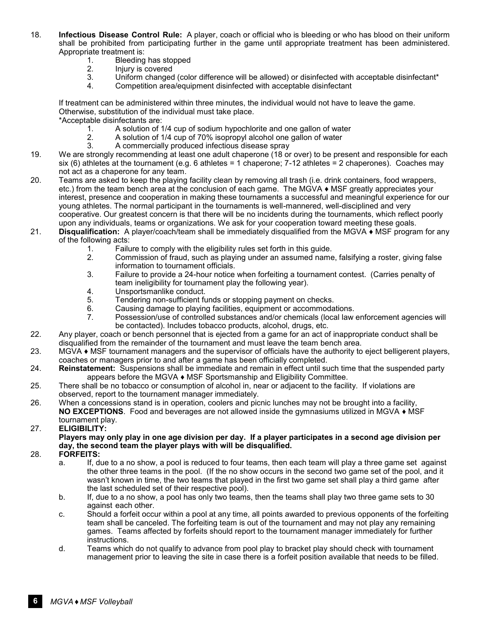- 18. **Infectious Disease Control Rule:** A player, coach or official who is bleeding or who has blood on their uniform shall be prohibited from participating further in the game until appropriate treatment has been administered. Appropriate treatment is:
	- 1. Bleeding has stopped<br>2. Iniury is covered
	- 2. Injury is covered<br>3. Uniform changed
	- 3. Uniform changed (color difference will be allowed) or disinfected with acceptable disinfectant\*<br>4. Competition area/equipment disinfected with acceptable disinfectant
	- 4. Competition area/equipment disinfected with acceptable disinfectant

If treatment can be administered within three minutes, the individual would not have to leave the game. Otherwise, substitution of the individual must take place.

\*Acceptable disinfectants are:

- 1. A solution of 1/4 cup of sodium hypochlorite and one gallon of water<br>2. A solution of 1/4 cup of 70% isopropyl alcohol one gallon of water
- 2. A solution of 1/4 cup of 70% isopropyl alcohol one gallon of water
- 3. A commercially produced infectious disease spray
- 19. We are strongly recommending at least one adult chaperone (18 or over) to be present and responsible for each six (6) athletes at the tournament (e.g. 6 athletes = 1 chaperone; 7-12 athletes = 2 chaperones). Coaches may not act as a chaperone for any team.
- 20. Teams are asked to keep the playing facility clean by removing all trash (i.e. drink containers, food wrappers, etc.) from the team bench area at the conclusion of each game. The MGVA ♦ MSF greatly appreciates your interest, presence and cooperation in making these tournaments a successful and meaningful experience for our young athletes. The normal participant in the tournaments is well-mannered, well-disciplined and very cooperative. Our greatest concern is that there will be no incidents during the tournaments, which reflect poorly upon any individuals, teams or organizations. We ask for your cooperation toward meeting these goals.
- 21. **Disqualification:** A player/coach/team shall be immediately disqualified from the MGVA ♦ MSF program for any of the following acts:
	- 1. Failure to comply with the eligibility rules set forth in this guide.<br>2. Commission of fraud, such as playing under an assumed name
	- 2. Commission of fraud, such as playing under an assumed name, falsifying a roster, giving false information to tournament officials.
	- 3. Failure to provide a 24-hour notice when forfeiting a tournament contest. (Carries penalty of team ineligibility for tournament play the following year).
	- 4. Unsportsmanlike conduct.<br>5. Tendering non-sufficient fu
	- Tendering non-sufficient funds or stopping payment on checks.
	-
	- 6. Causing damage to playing facilities, equipment or accommodations.<br>7. Possession/use of controlled substances and/or chemicals (local law 7. Possession/use of controlled substances and/or chemicals (local law enforcement agencies will be contacted). Includes tobacco products, alcohol, drugs, etc.
- 22. Any player, coach or bench personnel that is ejected from a game for an act of inappropriate conduct shall be disqualified from the remainder of the tournament and must leave the team bench area.
- $23.$  MGVA  $\bullet$  MSF tournament managers and the supervisor of officials have the authority to eject belligerent players, coaches or managers prior to and after a game has been officially completed.
- 24. **Reinstatement:** Suspensions shall be immediate and remain in effect until such time that the suspended party appears before the MGVA ♦ MSF Sportsmanship and Eligibility Committee.
- 25. There shall be no tobacco or consumption of alcohol in, near or adjacent to the facility. If violations are observed, report to the tournament manager immediately.
- 26. When a concessions stand is in operation, coolers and picnic lunches may not be brought into a facility, **NO EXCEPTIONS**. Food and beverages are not allowed inside the gymnasiums utilized in MGVA ♦ MSF tournament play.

### 27. **ELIGIBILITY:**

**Players may only play in one age division per day. If a player participates in a second age division per day, the second team the player plays with will be disqualified.**

- 28. **FORFEITS:**
	- a. If, due to a no show, a pool is reduced to four teams, then each team will play a three game set against the other three teams in the pool. (If the no show occurs in the second two game set of the pool, and it wasn't known in time, the two teams that played in the first two game set shall play a third game after the last scheduled set of their respective pool).
	- b. If, due to a no show, a pool has only two teams, then the teams shall play two three game sets to 30 against each other.
	- c. Should a forfeit occur within a pool at any time, all points awarded to previous opponents of the forfeiting team shall be canceled. The forfeiting team is out of the tournament and may not play any remaining games. Teams affected by forfeits should report to the tournament manager immediately for further instructions.
	- d. Teams which do not qualify to advance from pool play to bracket play should check with tournament management prior to leaving the site in case there is a forfeit position available that needs to be filled.